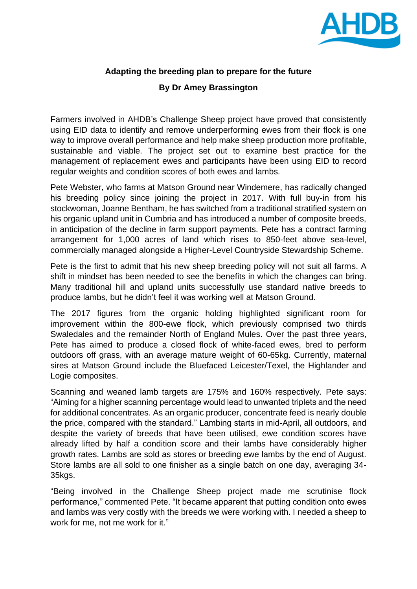

## **Adapting the breeding plan to prepare for the future**

## **By Dr Amey Brassington**

Farmers involved in AHDB's Challenge Sheep project have proved that consistently using EID data to identify and remove underperforming ewes from their flock is one way to improve overall performance and help make sheep production more profitable, sustainable and viable. The project set out to examine best practice for the management of replacement ewes and participants have been using EID to record regular weights and condition scores of both ewes and lambs.

Pete Webster, who farms at Matson Ground near Windemere, has radically changed his breeding policy since joining the project in 2017. With full buy-in from his stockwoman, Joanne Bentham, he has switched from a traditional stratified system on his organic upland unit in Cumbria and has introduced a number of composite breeds, in anticipation of the decline in farm support payments. Pete has a contract farming arrangement for 1,000 acres of land which rises to 850-feet above sea-level, commercially managed alongside a Higher-Level Countryside Stewardship Scheme.

Pete is the first to admit that his new sheep breeding policy will not suit all farms. A shift in mindset has been needed to see the benefits in which the changes can bring. Many traditional hill and upland units successfully use standard native breeds to produce lambs, but he didn't feel it was working well at Matson Ground.

The 2017 figures from the organic holding highlighted significant room for improvement within the 800-ewe flock, which previously comprised two thirds Swaledales and the remainder North of England Mules. Over the past three years, Pete has aimed to produce a closed flock of white-faced ewes, bred to perform outdoors off grass, with an average mature weight of 60-65kg. Currently, maternal sires at Matson Ground include the Bluefaced Leicester/Texel, the Highlander and Logie composites.

Scanning and weaned lamb targets are 175% and 160% respectively. Pete says: "Aiming for a higher scanning percentage would lead to unwanted triplets and the need for additional concentrates. As an organic producer, concentrate feed is nearly double the price, compared with the standard." Lambing starts in mid-April, all outdoors, and despite the variety of breeds that have been utilised, ewe condition scores have already lifted by half a condition score and their lambs have considerably higher growth rates. Lambs are sold as stores or breeding ewe lambs by the end of August. Store lambs are all sold to one finisher as a single batch on one day, averaging 34- 35kgs.

"Being involved in the Challenge Sheep project made me scrutinise flock performance," commented Pete. "It became apparent that putting condition onto ewes and lambs was very costly with the breeds we were working with. I needed a sheep to work for me, not me work for it."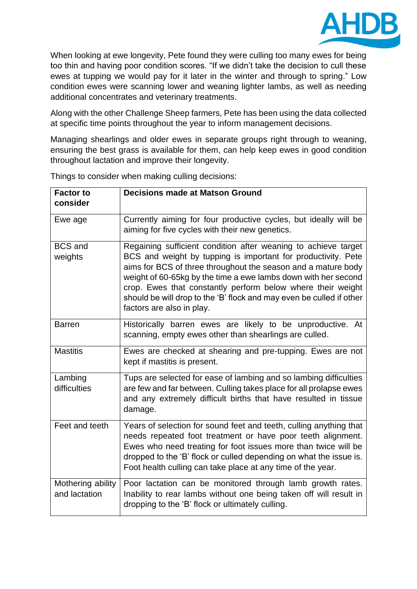

When looking at ewe longevity, Pete found they were culling too many ewes for being too thin and having poor condition scores. "If we didn't take the decision to cull these ewes at tupping we would pay for it later in the winter and through to spring." Low condition ewes were scanning lower and weaning lighter lambs, as well as needing additional concentrates and veterinary treatments.

Along with the other Challenge Sheep farmers, Pete has been using the data collected at specific time points throughout the year to inform management decisions.

Managing shearlings and older ewes in separate groups right through to weaning, ensuring the best grass is available for them, can help keep ewes in good condition throughout lactation and improve their longevity.

| <b>Factor to</b><br>consider       | <b>Decisions made at Matson Ground</b>                                                                                                                                                                                                                                                                                                                                                                                                 |
|------------------------------------|----------------------------------------------------------------------------------------------------------------------------------------------------------------------------------------------------------------------------------------------------------------------------------------------------------------------------------------------------------------------------------------------------------------------------------------|
| Ewe age                            | Currently aiming for four productive cycles, but ideally will be<br>aiming for five cycles with their new genetics.                                                                                                                                                                                                                                                                                                                    |
| <b>BCS</b> and<br>weights          | Regaining sufficient condition after weaning to achieve target<br>BCS and weight by tupping is important for productivity. Pete<br>aims for BCS of three throughout the season and a mature body<br>weight of 60-65kg by the time a ewe lambs down with her second<br>crop. Ewes that constantly perform below where their weight<br>should be will drop to the 'B' flock and may even be culled if other<br>factors are also in play. |
| <b>Barren</b>                      | Historically barren ewes are likely to be unproductive. At<br>scanning, empty ewes other than shearlings are culled.                                                                                                                                                                                                                                                                                                                   |
| <b>Mastitis</b>                    | Ewes are checked at shearing and pre-tupping. Ewes are not<br>kept if mastitis is present.                                                                                                                                                                                                                                                                                                                                             |
| Lambing<br>difficulties            | Tups are selected for ease of lambing and so lambing difficulties<br>are few and far between. Culling takes place for all prolapse ewes<br>and any extremely difficult births that have resulted in tissue<br>damage.                                                                                                                                                                                                                  |
| Feet and teeth                     | Years of selection for sound feet and teeth, culling anything that<br>needs repeated foot treatment or have poor teeth alignment.<br>Ewes who need treating for foot issues more than twice will be<br>dropped to the 'B' flock or culled depending on what the issue is.<br>Foot health culling can take place at any time of the year.                                                                                               |
| Mothering ability<br>and lactation | Poor lactation can be monitored through lamb growth rates.<br>Inability to rear lambs without one being taken off will result in<br>dropping to the 'B' flock or ultimately culling.                                                                                                                                                                                                                                                   |

Things to consider when making culling decisions: